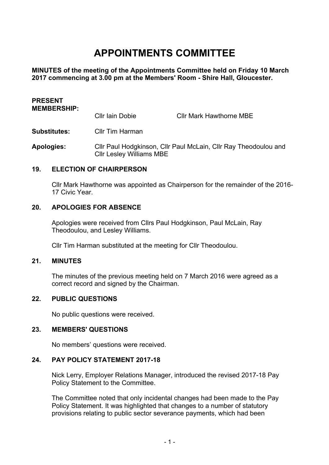# **APPOINTMENTS COMMITTEE**

**MINUTES of the meeting of the Appointments Committee held on Friday 10 March 2017 commencing at 3.00 pm at the Members' Room - Shire Hall, Gloucester.**

| <b>PRESENT</b><br><b>MEMBERSHIP:</b> |                                                                                                    |                                |
|--------------------------------------|----------------------------------------------------------------------------------------------------|--------------------------------|
|                                      | Cllr Iain Dobie                                                                                    | <b>Cllr Mark Hawthorne MBE</b> |
| <b>Substitutes:</b>                  | <b>Cllr Tim Harman</b>                                                                             |                                |
| <b>Apologies:</b>                    | Cllr Paul Hodgkinson, Cllr Paul McLain, Cllr Ray Theodoulou and<br><b>CIIr Lesley Williams MBE</b> |                                |

#### **19. ELECTION OF CHAIRPERSON**

Cllr Mark Hawthorne was appointed as Chairperson for the remainder of the 2016- 17 Civic Year.

### **20. APOLOGIES FOR ABSENCE**

Apologies were received from Cllrs Paul Hodgkinson, Paul McLain, Ray Theodoulou, and Lesley Williams.

Cllr Tim Harman substituted at the meeting for Cllr Theodoulou.

#### **21. MINUTES**

The minutes of the previous meeting held on 7 March 2016 were agreed as a correct record and signed by the Chairman.

#### **22. PUBLIC QUESTIONS**

No public questions were received.

## **23. MEMBERS' QUESTIONS**

No members' questions were received.

## **24. PAY POLICY STATEMENT 2017-18**

Nick Lerry, Employer Relations Manager, introduced the revised 2017-18 Pay Policy Statement to the Committee.

The Committee noted that only incidental changes had been made to the Pay Policy Statement. It was highlighted that changes to a number of statutory provisions relating to public sector severance payments, which had been